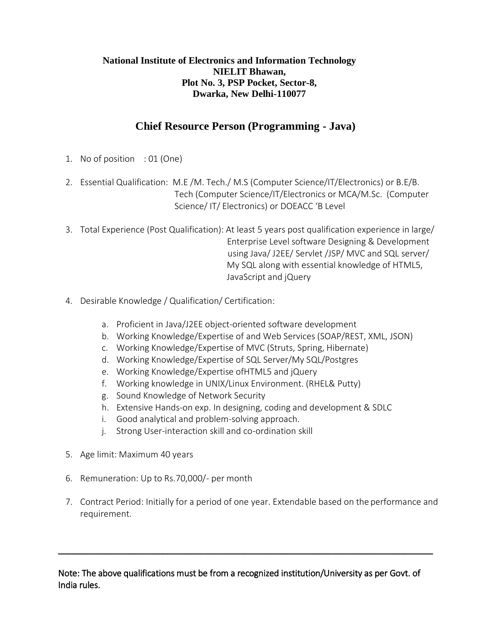# **Chief Resource Person (Programming - Java)**

- 1. No of position : 01 (One)
- 2. Essential Qualification: M.E /M. Tech./ M.S (Computer Science/IT/Electronics) or B.E/B. Tech (Computer Science/IT/Electronics or MCA/M.Sc. (Computer Science/ IT/ Electronics) or DOEACC 'B Level
- 3. Total Experience (Post Qualification): At least 5 years post qualification experience in large/ Enterprise Level software Designing & Development using Java/ J2EE/ Servlet /JSP/ MVC and SQL server/ My SQL along with essential knowledge of HTML5, JavaScript and jQuery
- 4. Desirable Knowledge / Qualification/ Certification:
	- a. Proficient in Java/J2EE object-oriented software development
	- b. Working Knowledge/Expertise of and Web Services (SOAP/REST, XML, JSON)
	- c. Working Knowledge/Expertise of MVC (Struts, Spring, Hibernate)
	- d. Working Knowledge/Expertise of SQL Server/My SQL/Postgres
	- e. Working Knowledge/Expertise ofHTML5 and jQuery
	- f. Working knowledge in UNIX/Linux Environment. (RHEL& Putty)
	- g. Sound Knowledge of Network Security
	- h. Extensive Hands-on exp. In designing, coding and development & SDLC
	- i. Good analytical and problem-solving approach.
	- j. Strong User-interaction skill and co-ordination skill
- 5. Age limit: Maximum 40 years
- 6. Remuneration: Up to Rs.70,000/- per month
- 7. Contract Period: Initially for a period of one year. Extendable based on the performance and requirement.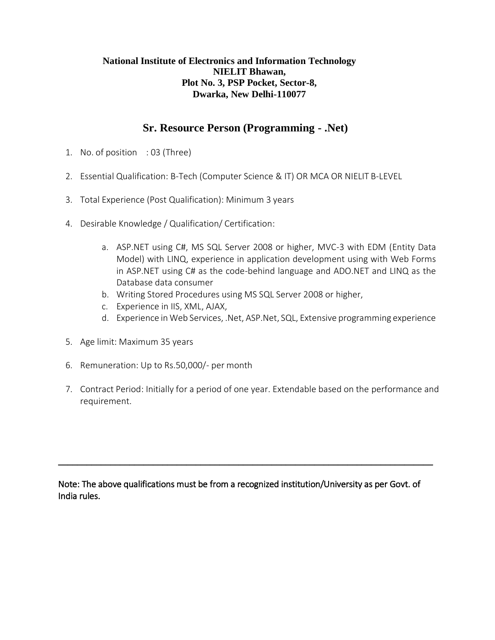## **Sr. Resource Person (Programming - .Net)**

- 1. No. of position : 03 (Three)
- 2. Essential Qualification: B-Tech (Computer Science & IT) OR MCA OR NIELIT B-LEVEL
- 3. Total Experience (Post Qualification): Minimum 3 years
- 4. Desirable Knowledge / Qualification/ Certification:
	- a. ASP.NET using C#, MS SQL Server 2008 or higher, MVC-3 with EDM (Entity Data Model) with LINQ, experience in application development using with Web Forms in ASP.NET using C# as the code-behind language and ADO.NET and LINQ as the Database data consumer
	- b. Writing Stored Procedures using MS SQL Server 2008 or higher,
	- c. Experience in IIS, XML, AJAX,
	- d. Experience in Web Services, .Net, ASP.Net, SQL, Extensive programming experience
- 5. Age limit: Maximum 35 years
- 6. Remuneration: Up to Rs.50,000/- per month
- 7. Contract Period: Initially for a period of one year. Extendable based on the performance and requirement.

Note: The above qualifications must be from a recognized institution/University as per Govt. of India rules.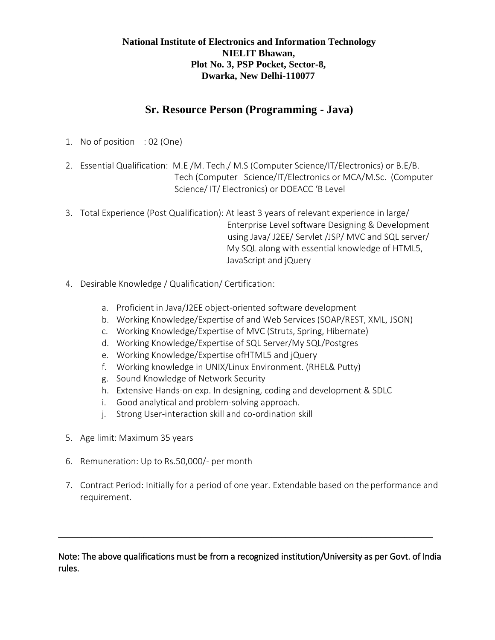### **Sr. Resource Person (Programming - Java)**

- 1. No of position : 02 (One)
- 2. Essential Qualification: M.E /M. Tech./ M.S (Computer Science/IT/Electronics) or B.E/B. Tech (Computer Science/IT/Electronics or MCA/M.Sc. (Computer Science/ IT/ Electronics) or DOEACC 'B Level
- 3. Total Experience (Post Qualification): At least 3 years of relevant experience in large/ Enterprise Level software Designing & Development using Java/ J2EE/ Servlet /JSP/ MVC and SQL server/ My SQL along with essential knowledge of HTML5, JavaScript and jQuery
- 4. Desirable Knowledge / Qualification/ Certification:
	- a. Proficient in Java/J2EE object-oriented software development
	- b. Working Knowledge/Expertise of and Web Services (SOAP/REST, XML, JSON)
	- c. Working Knowledge/Expertise of MVC (Struts, Spring, Hibernate)
	- d. Working Knowledge/Expertise of SQL Server/My SQL/Postgres
	- e. Working Knowledge/Expertise ofHTML5 and jQuery
	- f. Working knowledge in UNIX/Linux Environment. (RHEL& Putty)
	- g. Sound Knowledge of Network Security
	- h. Extensive Hands-on exp. In designing, coding and development & SDLC
	- i. Good analytical and problem-solving approach.
	- j. Strong User-interaction skill and co-ordination skill
- 5. Age limit: Maximum 35 years
- 6. Remuneration: Up to Rs.50,000/- per month
- 7. Contract Period: Initially for a period of one year. Extendable based on the performance and requirement.

Note: The above qualifications must be from a recognized institution/University as per Govt. of India rules.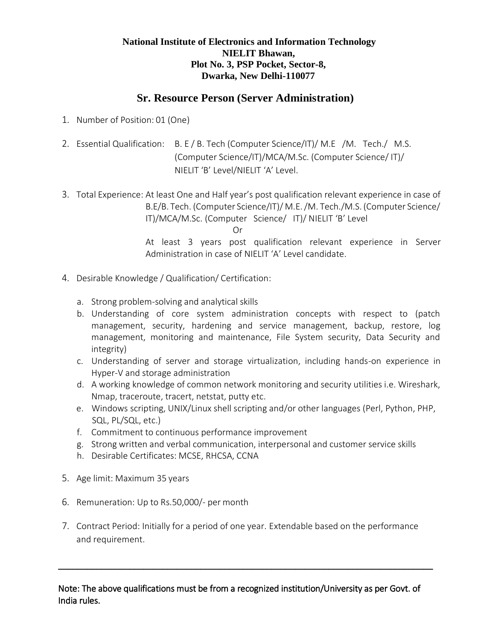### **Sr. Resource Person (Server Administration)**

- 1. Number of Position: 01 (One)
- 2. Essential Qualification: B. E / B. Tech (Computer Science/IT)/ M.E /M. Tech./ M.S. (Computer Science/IT)/MCA/M.Sc. (Computer Science/ IT)/ NIELIT 'B' Level/NIELIT 'A' Level.
- 3. Total Experience: At least One and Half year's post qualification relevant experience in case of B.E/B. Tech. (Computer Science/IT)/ M.E. /M. Tech./M.S. (Computer Science/ IT)/MCA/M.Sc. (Computer Science/ IT)/ NIELIT 'B' Level Or At least 3 years post qualification relevant experience in Server Administration in case of NIELIT 'A' Level candidate.
- 4. Desirable Knowledge / Qualification/ Certification:
	- a. Strong problem-solving and analytical skills
	- b. Understanding of core system administration concepts with respect to (patch management, security, hardening and service management, backup, restore, log management, monitoring and maintenance, File System security, Data Security and integrity)
	- c. Understanding of server and storage virtualization, including hands-on experience in Hyper-V and storage administration
	- d. A working knowledge of common network monitoring and security utilities i.e. Wireshark, Nmap, traceroute, tracert, netstat, putty etc.
	- e. Windows scripting, UNIX/Linux shell scripting and/or other languages (Perl, Python, PHP, SQL, PL/SQL, etc.)
	- f. Commitment to continuous performance improvement
	- g. Strong written and verbal communication, interpersonal and customer service skills
	- h. Desirable Certificates: MCSE, RHCSA, CCNA
- 5. Age limit: Maximum 35 years
- 6. Remuneration: Up to Rs.50,000/- per month
- 7. Contract Period: Initially for a period of one year. Extendable based on the performance and requirement.